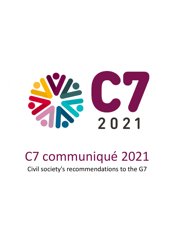

# C7 communiqué 2021

Civil society's recommendations to the G7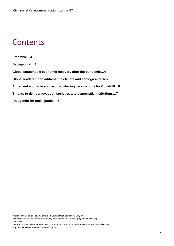# **Contents**

**Preamble…3 Background…3 Global sustainable economic recovery after the pandemic…4 Global leadership to address the climate and ecological crises...5 A just and equitable approach to sharing vaccinations for Covid-19…6 Threats to democracy, open societies and democratic institutions…7 An agenda for racial justice…8**

Published by Bond, Society Building, 8 All Saints Street, London N1 9RL, UK Registered Charity No. 1068839 Company Registration No. 3395681 (England and Wales) April 2021

This work is licensed under a Creative Commons Attribution-NonCommercial 4.0 International License, https://creativecommons.org/licenses/by-nc/4.0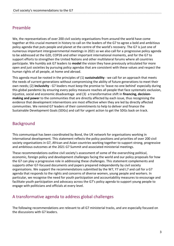### Preamble

We, the representatives of over 200 civil society organisations from around the world have come together at this crucial moment in history to call on the leaders of the G7 to agree a bold and ambitious policy agenda that puts people and planet at the centre of the world's recovery. The G7 is just one of numerous important intergovernmental meetings in 2021 so we also call for a progressive policy agenda to be addressed at the G20, COP26 and other important international moments, and for the G7 to support efforts to strengthen the United Nations and other multilateral forums where all countries participate. We humbly ask G7 leaders to **model** the vision they have previously articulated for more open and just societies by pursuing policy agendas that are consistent with these values and respect the human rights of all people, at home and abroad.

This agenda must be rooted in the principles of (1) **sustainability** - we call for an approach that meets the needs of current generations without compromising the ability of future generations to meet their own needs; (2) **inclusivity** - G7 leaders must keep the promise to 'leave no-one behind' especially during this global pandemic by ensuring every policy measure reaches all people that face systematic exclusion, injustice, social and economic disadvantage and (3) a transformative shift in **financing, decisionmaking and power** to the communities that are directly affected by each issue, thus recognising the evidence that development interventions are most effective when they are led by directly affected communities. We remind G7 leaders of their commitments to help to deliver and finance the Sustainable Development Goals (SDGs) and call for urgent action to get the SDGs back on track.

## Background

This communiqué has been coordinated by Bond, the UK network for organisations working in international development. This statement reflects the policy positions and priorities of over 200 civil society organisations in G7, African and Asian countries working together to support strong, progressive and ambitious outcomes at the 2021 G7 Summit and associated ministerial meetings.

These recommendations outline civil society's assessment of some of the overarching political, economic, foreign policy and development challenges facing the world and our policy proposals for how the G7 can play a progressive role in addressing these challenges. This statement complements and supports other G7-focused documents and papers prepared independently by civil society organisations. We support the recommendations submitted by the W7, Y7 and L7 and call for a G7 agenda that responds to the rights and concerns of diverse women, young people and workers. In particular, we recognise the need for youth participation and accountability measures to encourage and facilitate youth participation and advocacy across the G7's policy agenda to support young people to engage with politicians and officials at every level.

# A transformative agenda to address global challenges

The following recommendations are relevant to all G7 ministerial tracks, and are especially focused on the discussions with G7 leaders.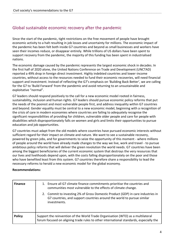# Global sustainable economic recovery after the pandemic

Since the start of the pandemic, tight restrictions on the free movement of people have brought economic activity to a halt resulting in job losses and uncertainty for millions. The economic impact of the pandemic has been felt both inside G7 countries and beyond as small businesses and workers have seen their incomes reduce, or disappear entirely. While trillions of US dollars have been spent to support recovery from the pandemic, the majority of this funding has been spent in industrialised nations.

The economic damage caused by the pandemic represents the largest economic shock in decades. In the first half of 2020 alone, the United Nations Conference on Trade and Development (UNCTAD) reported a 49% drop in foreign direct investment. Highly indebted countries and lower-income countries, without access to the resources needed to fund their economic recoveries, will need financial support and investment. Instead of reflecting the G7's emphasis on 'Building Back Better', we are calling for the G7 to 'Build Forward' from the pandemic and avoid returning to an unsustainable and exploitative "normal".

G7 leaders should respond positively to the call for a new economic model rooted in fairness, sustainability, inclusion and human rights. G7 leaders should pursue economic policy reforms that put the needs of the poorest and most vulnerable people first, and address inequality within G7 countries and beyond. Gender equality must be central to a new economic model, beginning with a recognition of the crisis of care in modern economies where countries are failing to adequately recognise the significant responsibilities of providing for children, vulnerable older people and care for people with disabilities which disproportionately falls on women and girls and limits their opportunities to pursue education and job opportunities.

G7 countries must adapt from the old models where countries have pursued economic interests without sufficient regard for their impact on climate and nature. We want to see a sustainable recovery, powered by green jobs, and for governments to seize the opportunity of this moment - where millions of people around the world have already made changes to the way we live, work and travel - to pursue ambitious policy reforms that will deliver the green revolution the world needs. G7 countries have been among the biggest beneficiaries of the current economic system that destroys the very resources that our lives and livelihoods depend upon, with the costs falling disproportionately on the poor and those who have benefited least from this system. G7 countries therefore share a responsibility to lead the necessary reforms to herald a new economic model for the global economy.

| <b>Finance</b> | 1. Ensure all G7 climate finance commitments prioritise the countries and<br>communities most vulnerable to the effects of climate change.                                |
|----------------|---------------------------------------------------------------------------------------------------------------------------------------------------------------------------|
|                | 2. Commit to investing 2% of Gross Domestic Product (GDP) in care industries in<br>G7 countries, and support countries around the world to pursue similar<br>investments. |
| <b>Policy</b>  | Support the reinvention of the World Trade Organisation (WTO) as a multilateral<br>forum focused on aligning trade rules to other international standards, especially the |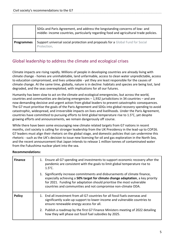|                   | SDGs and Paris Agreement, and address the longstanding concerns of low- and<br>middle- income countries, particularly regarding food and agricultural trade policies. |
|-------------------|-----------------------------------------------------------------------------------------------------------------------------------------------------------------------|
| <b>Programmes</b> | Support universal social protection and proposals for a Global Fund for Social<br>Protection.                                                                         |

# Global leadership to address the climate and ecological crises

Climate impacts are rising rapidly. Millions of people in developing countries are already living with climate change - homes are uninhabitable, land unfarmable, access to clean water unpredictable, access to education compromised, and lives unbearable - yet they are least responsible for the causes of climate change. At the same time, globally, nature is in decline: habitats and species are being lost, land degraded, and the seas overexploited, with implications for all our futures.

Humanity has been slow to act on the climate and ecological emergencies, but across the world, countries and communities are declaring emergencies – 1,932 jurisdictions in 34 countries – and are now demanding decisive and urgent action from global leaders to prevent catastrophic consequences. The G7 must prioritise the goals of the Paris Agreement and SDGs into global recovery spending to avoid catastrophic, widespread, and irreversible impacts on lives and livelihoods. Under the Paris Agreement, countries have committed to pursuing efforts to limit global temperature rise to 1.5°C, yet despite growing efforts and announcements, we remain dangerously off course.

While there have been some encouraging new climate related targets from G7 nations in recent months, civil society is calling for stronger leadership from the UK Presidency in the lead-up to COP26. G7 leaders must align their rhetoric on the global stage, and domestic policies that can undermine this rhetoric - such as the UK's decision to issue new licensing for oil and gas exploration in the North Sea, and the recent announcement that Japan intends to release 1 million tonnes of contaminated water from the Fukushima nuclear plant into the sea.

| <b>Finance</b> | 1. Ensure all G7 spending and investments to support economic recovery after the<br>pandemic are consistent with the goals to limit global temperature rise to<br>$1.5^{\circ}$ C.                                                                                                                        |
|----------------|-----------------------------------------------------------------------------------------------------------------------------------------------------------------------------------------------------------------------------------------------------------------------------------------------------------|
|                | 1. Significantly increase commitments and disbursements of climate finance,<br>especially achieving a 50% target for climate change adaptation, a key priority<br>for 2021. Funding for adaptation should prioritise the most vulnerable<br>countries and communities and not compromise non-climate ODA. |
| <b>Policy</b>  | 1. End all investment from all G7 countries for all fossil fuels overseas and<br>significantly scale-up support to lower-income and vulnerable countries to<br>ensure renewable energy access for all.                                                                                                    |
|                | 2. Publish a roadmap by the first G7 Finance Ministers meeting of 2022 detailing<br>how they will phase out fossil fuel subsidies by 2025.                                                                                                                                                                |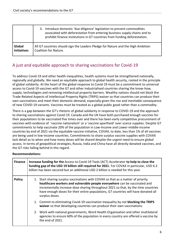|                    | Introduce domestic 'due diligence' legislation to prevent commodities<br>3.<br>associated with deforestation from entering business supply chains and to<br>prohibit finance institutions in G7 countries from funding deforestation. |
|--------------------|---------------------------------------------------------------------------------------------------------------------------------------------------------------------------------------------------------------------------------------|
| Global             | All G7 countries should sign the Leaders Pledge for Nature and the High Ambition                                                                                                                                                      |
| <b>Initiatives</b> | <b>Coalition for Nature.</b>                                                                                                                                                                                                          |

# A just and equitable approach to sharing vaccinations for Covid-19

To address Covid-19 and other health inequalities, health systems must be strengthened nationally, regionally and globally. We need an equitable approach to global health security, rooted in the principle of global solidarity. At the heart of the global response to Covid-19 must be a commitment to universal access to Covid-19 vaccines with the G7 and other industrialised countries sharing the know-how, supply, technologies and removing intellectual property barriers. Wealthy nations should not block the Trade-Related Aspects of Intellectual Property Rights (TRIPS) waiver so that countries can produce their own vaccinations and meet their domestic demand, especially given the rise and inevitable consequence of new COVID-19 variants. Vaccines must be treated as a global public good rather than a commodity.

There is a gap between the G7's rhetoric of global solidarity in response to COVID-19 and the approach to sharing vaccinations against Covid-19. Canada and the UK have both purchased enough vaccines for their populations to be vaccinated five times over and there has been early competitive procurement of vaccines with evidence of 'vaccine nationalism' or a 'vaccine apartheid' over scarce supplies. Despite G7 commitments to help vaccinate 20% of the population in Low-Income and Lower-middle-income countries by end of 2021 via the equitable vaccine initiative, COVAX, to date, less than 1% of all vaccines are being used in low-income countries. Commitments to share surplus vaccine supplies with COVAX lack detail as to when and how many doses will be shared despite the urgent need to ensure global access. In terms of geopolitical strategies, Russia, India and China have all directly donated vaccines, and the G7 risks falling behind in this regard.

| <b>Finance</b> | Increase funding for the Access to Covid-19 Tools (ACT) Accelerator to help to close the<br>funding gap of the USD 19 billion still required for 2021. For COVAX in particular, USD 6.3<br>billion has been secured but an additional USD 2 billion is needed for this year. |                                                                                                                                                                                                                                                                                                                                                             |
|----------------|------------------------------------------------------------------------------------------------------------------------------------------------------------------------------------------------------------------------------------------------------------------------------|-------------------------------------------------------------------------------------------------------------------------------------------------------------------------------------------------------------------------------------------------------------------------------------------------------------------------------------------------------------|
| <b>Policy</b>  |                                                                                                                                                                                                                                                                              | 1. Start sharing surplus vaccinations with COVAX so that as a matter of priority<br>healthcare workers and vulnerable people everywhere can be vaccinated and<br>incrementally increase dose sharing throughout 2021 so that, by the time countries<br>have enough doses for their entire populations, G7 countries will have donated all<br>surplus doses. |
|                |                                                                                                                                                                                                                                                                              | 1. Commit to eliminating Covid-19 vaccination inequality by not <b>blocking the TRIPS</b><br>waiver so that developing countries can produce their own vaccinations.                                                                                                                                                                                        |
|                |                                                                                                                                                                                                                                                                              | 2. Work with national governments, Word Health Organisation and other multilateral<br>agencies to ensure 60% of the population in every country are offered a vaccine by<br>the end of 2021.                                                                                                                                                                |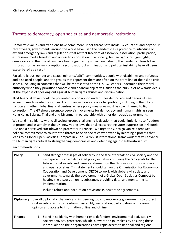# Threats to democracy, open societies and democratic institutions

Democratic values and traditions have come more under threat both inside G7 countries and beyond. In recent years, governments around the world have used the pandemic as a pretence to introduce or expand emergency laws and regulations that restrict freedom of assembly, association, participation, expression, media freedom and access to information. Civil society, human rights, refugee rights, democracy and the rule of law have been significantly undermined due to the pandemic. Trends like rising authoritarianism, corruption, securitisation, discrimination and political instability have all been exacerbated as a result.

Racial, religious, gender and sexual minority/LGBTI communities, people with disabilities and refugees and displaced people, and the groups that represent them are often on the front line of the risk to civic spaces, including in countries that will be represented at the G7. G7 leaders undermine their moral authority when they prioritise economic and financial objectives, such as the pursuit of new trade deals, at the expense of speaking out against human rights abuses and discrimination.

Illicit financial flows should be prevented as corruption undermines democracy and denies citizens access to much needed resources. Illicit financial flows are a global problem, including in the City of London and other global financial centres, where policy measures must be strengthened to fight corruption. The G7 should promote people's movements for democracy and human rights as seen in Hong Kong, Belarus, Thailand and Myanmar in partnership with other democratic governments.

We stand in solidarity with civil society groups challenging legislation that could limit rights to freedom of protest and assembly in the UK, new voting laws that risk exacerbating voter suppression in Georgia, USA and a perceived crackdown on protesters in France. We urge the G7 to galvanize a renewed political commitment to counter the threats to open societies worldwide by initiating a process that leads to a Global Open Societies Compact in 2022 – a robust international framework that will advance the human rights critical to strengthening democracies and defending against authoritarianism.

| <b>Policy</b>    | 1. Send stronger messages of solidarity in the face of threats to civil society and the<br>civic space. Establish dedicated policy initiatives outlining the G7's goals for the<br>future of civil society and issue a statement on the G7's support for civic space<br>and open societies. This statement should call on the Organisation for Economic-<br>Cooperation and Development (OECD) to work with global civil society and<br>governments towards the development of a Global Open Societies Compact by<br>hosting the discussion on its substance, providing data, and monitoring its<br>implementation.<br>2. Include robust anti-corruption provisions in new trade agreements. |  |
|------------------|----------------------------------------------------------------------------------------------------------------------------------------------------------------------------------------------------------------------------------------------------------------------------------------------------------------------------------------------------------------------------------------------------------------------------------------------------------------------------------------------------------------------------------------------------------------------------------------------------------------------------------------------------------------------------------------------|--|
| <b>Diplomacy</b> | Use all diplomatic channels and influencing tools to encourage governments to protect<br>civil society's rights to freedom of assembly, association, participation, expression,<br>opinion and access to information online and offline.                                                                                                                                                                                                                                                                                                                                                                                                                                                     |  |
| <b>Finance</b>   | 1. Stand in solidarity with human rights defenders, environmental activists, civil<br>society activists, protesters whistle-blowers and journalists by ensuring these<br>individuals and their organisations have rapid access to national and regional                                                                                                                                                                                                                                                                                                                                                                                                                                      |  |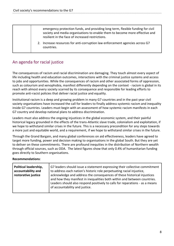|  | emergency protection funds, and providing long term, flexible funding for civil<br>society and media organisations to enable them to become more effective and<br>resilient in the face of increased restrictions. |                                                                                            |
|--|--------------------------------------------------------------------------------------------------------------------------------------------------------------------------------------------------------------------|--------------------------------------------------------------------------------------------|
|  |                                                                                                                                                                                                                    | 2. Increase resources for anti-corruption law enforcement agencies across G7<br>countries. |

# An agenda for racial justice

The consequences of racism and racial discrimination are damaging. They touch almost every aspect of life including health and education outcomes, interactions with the criminal justice systems and access to jobs and opportunities. While the consequences of racism and other associated forms of oppression, such as colourism and xenophobia, manifest differently depending on the context - racism is global in its reach with almost every society scarred by its consequence and responsible for leading efforts to promote anti-racist policies that deliver racial justice and equality.

Institutional racism is a deep and growing problem in many G7 countries and in the past year civil society organisations have increased the call for leaders to finally address systemic racism and inequality inside G7 countries. Leaders must begin with an assessment of how systemic racism manifests in each G7 country and develop national plans to address discrimination.

Leaders must also address the ongoing injustices in the global economic system, and their painful historical legacy grounded in the effects of the trans-Atlantic slave trade, colonialism and exploitation, if we hope to withstand similar crises in the future. This is a necessary precondition for any steps towards a more just and equitable world, and a requirement, if we hope to withstand similar crises in the future.

Through the Grand Bargain, and many global conferences on aid effectiveness, leaders have agreed to target more funding, power and decision making to organisations in the global South. But they are yet to deliver on these commitments. There are profound inequities in the distribution of Northern wealth through official sources, such as ODA. The latest figures show that only 0.4% of humanitarian funding goes directly to Southern organisations.

| Political leadership,<br>accountability and<br>restorative justice | G7 leaders should issue a statement expressing their collective commitment<br>to address each nation's historic role perpetuating racial injustice,<br>acknowledge and address the consequences of these historical injustices<br>and how they manifest in inequalities both within and between countries.<br>Leaders should also respond positively to calls for reparations - as a means<br>of accountability and justice. |
|--------------------------------------------------------------------|------------------------------------------------------------------------------------------------------------------------------------------------------------------------------------------------------------------------------------------------------------------------------------------------------------------------------------------------------------------------------------------------------------------------------|
|--------------------------------------------------------------------|------------------------------------------------------------------------------------------------------------------------------------------------------------------------------------------------------------------------------------------------------------------------------------------------------------------------------------------------------------------------------------------------------------------------------|